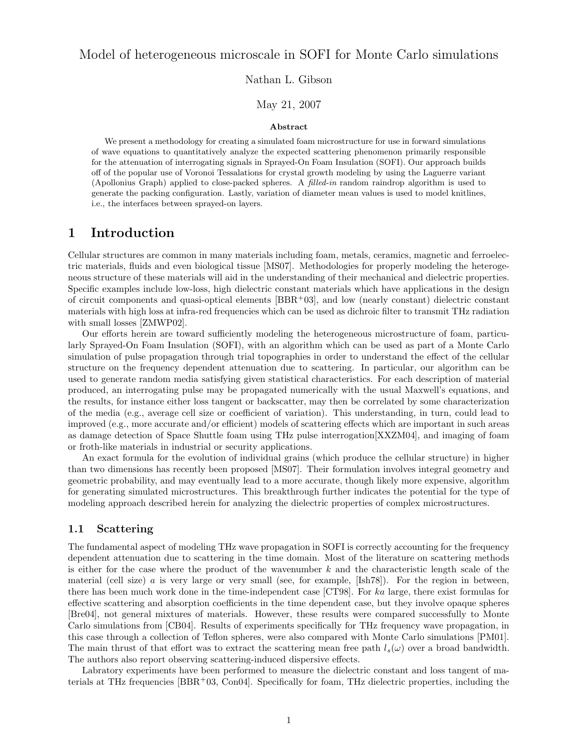## Model of heterogeneous microscale in SOFI for Monte Carlo simulations

Nathan L. Gibson

### May 21, 2007

#### Abstract

We present a methodology for creating a simulated foam microstructure for use in forward simulations of wave equations to quantitatively analyze the expected scattering phenomenon primarily responsible for the attenuation of interrogating signals in Sprayed-On Foam Insulation (SOFI). Our approach builds off of the popular use of Voronoi Tessalations for crystal growth modeling by using the Laguerre variant (Apollonius Graph) applied to close-packed spheres. A filled-in random raindrop algorithm is used to generate the packing configuration. Lastly, variation of diameter mean values is used to model knitlines, i.e., the interfaces between sprayed-on layers.

## 1 Introduction

Cellular structures are common in many materials including foam, metals, ceramics, magnetic and ferroelectric materials, fluids and even biological tissue [MS07]. Methodologies for properly modeling the heterogeneous structure of these materials will aid in the understanding of their mechanical and dielectric properties. Specific examples include low-loss, high dielectric constant materials which have applications in the design of circuit components and quasi-optical elements  $[BBR+03]$ , and low (nearly constant) dielectric constant materials with high loss at infra-red frequencies which can be used as dichroic filter to transmit THz radiation with small losses [ZMWP02].

Our efforts herein are toward sufficiently modeling the heterogeneous microstructure of foam, particularly Sprayed-On Foam Insulation (SOFI), with an algorithm which can be used as part of a Monte Carlo simulation of pulse propagation through trial topographies in order to understand the effect of the cellular structure on the frequency dependent attenuation due to scattering. In particular, our algorithm can be used to generate random media satisfying given statistical characteristics. For each description of material produced, an interrogating pulse may be propagated numerically with the usual Maxwell's equations, and the results, for instance either loss tangent or backscatter, may then be correlated by some characterization of the media (e.g., average cell size or coefficient of variation). This understanding, in turn, could lead to improved (e.g., more accurate and/or efficient) models of scattering effects which are important in such areas as damage detection of Space Shuttle foam using THz pulse interrogation[XXZM04], and imaging of foam or froth-like materials in industrial or security applications.

An exact formula for the evolution of individual grains (which produce the cellular structure) in higher than two dimensions has recently been proposed [MS07]. Their formulation involves integral geometry and geometric probability, and may eventually lead to a more accurate, though likely more expensive, algorithm for generating simulated microstructures. This breakthrough further indicates the potential for the type of modeling approach described herein for analyzing the dielectric properties of complex microstructures.

### 1.1 Scattering

The fundamental aspect of modeling THz wave propagation in SOFI is correctly accounting for the frequency dependent attenuation due to scattering in the time domain. Most of the literature on scattering methods is either for the case where the product of the wavenumber  $k$  and the characteristic length scale of the material (cell size) a is very large or very small (see, for example, [Ish78]). For the region in between, there has been much work done in the time-independent case [CT98]. For ka large, there exist formulas for effective scattering and absorption coefficients in the time dependent case, but they involve opaque spheres [Bre04], not general mixtures of materials. However, these results were compared successfully to Monte Carlo simulations from [CB04]. Results of experiments specifically for THz frequency wave propagation, in this case through a collection of Teflon spheres, were also compared with Monte Carlo simulations [PM01]. The main thrust of that effort was to extract the scattering mean free path  $l_s(\omega)$  over a broad bandwidth. The authors also report observing scattering-induced dispersive effects.

Labratory experiments have been performed to measure the dielectric constant and loss tangent of materials at THz frequencies  $[BBR<sup>+</sup>03, Con04]$ . Specifically for foam, THz dielectric properties, including the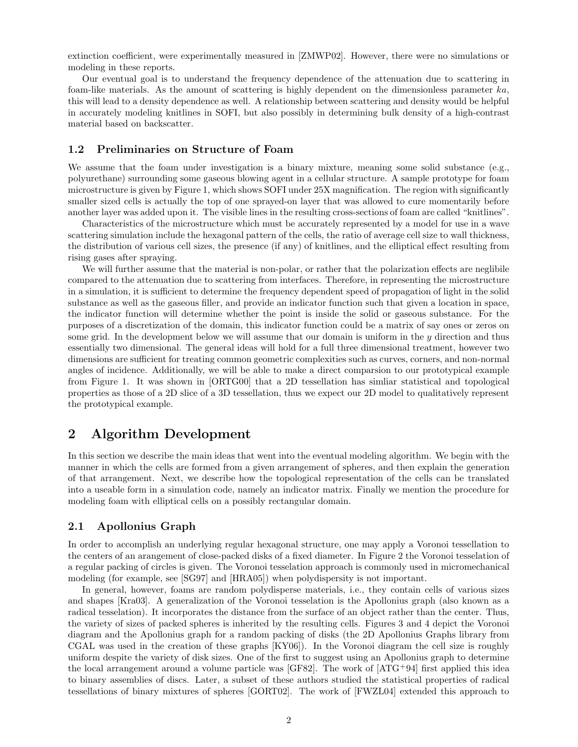extinction coefficient, were experimentally measured in [ZMWP02]. However, there were no simulations or modeling in these reports.

Our eventual goal is to understand the frequency dependence of the attenuation due to scattering in foam-like materials. As the amount of scattering is highly dependent on the dimensionless parameter ka, this will lead to a density dependence as well. A relationship between scattering and density would be helpful in accurately modeling knitlines in SOFI, but also possibly in determining bulk density of a high-contrast material based on backscatter.

### 1.2 Preliminaries on Structure of Foam

We assume that the foam under investigation is a binary mixture, meaning some solid substance (e.g., polyurethane) surrounding some gaseous blowing agent in a cellular structure. A sample prototype for foam microstructure is given by Figure 1, which shows SOFI under 25X magnification. The region with significantly smaller sized cells is actually the top of one sprayed-on layer that was allowed to cure momentarily before another layer was added upon it. The visible lines in the resulting cross-sections of foam are called "knitlines".

Characteristics of the microstructure which must be accurately represented by a model for use in a wave scattering simulation include the hexagonal pattern of the cells, the ratio of average cell size to wall thickness, the distribution of various cell sizes, the presence (if any) of knitlines, and the elliptical effect resulting from rising gases after spraying.

We will further assume that the material is non-polar, or rather that the polarization effects are neglibile compared to the attenuation due to scattering from interfaces. Therefore, in representing the microstructure in a simulation, it is sufficient to determine the frequency dependent speed of propagation of light in the solid substance as well as the gaseous filler, and provide an indicator function such that given a location in space, the indicator function will determine whether the point is inside the solid or gaseous substance. For the purposes of a discretization of the domain, this indicator function could be a matrix of say ones or zeros on some grid. In the development below we will assume that our domain is uniform in the y direction and thus essentially two dimensional. The general ideas will hold for a full three dimensional treatment, however two dimensions are sufficient for treating common geometric complexities such as curves, corners, and non-normal angles of incidence. Additionally, we will be able to make a direct comparsion to our prototypical example from Figure 1. It was shown in [ORTG00] that a 2D tessellation has simliar statistical and topological properties as those of a 2D slice of a 3D tessellation, thus we expect our 2D model to qualitatively represent the prototypical example.

## 2 Algorithm Development

In this section we describe the main ideas that went into the eventual modeling algorithm. We begin with the manner in which the cells are formed from a given arrangement of spheres, and then explain the generation of that arrangement. Next, we describe how the topological representation of the cells can be translated into a useable form in a simulation code, namely an indicator matrix. Finally we mention the procedure for modeling foam with elliptical cells on a possibly rectangular domain.

### 2.1 Apollonius Graph

In order to accomplish an underlying regular hexagonal structure, one may apply a Voronoi tessellation to the centers of an arangement of close-packed disks of a fixed diameter. In Figure 2 the Voronoi tesselation of a regular packing of circles is given. The Voronoi tesselation approach is commonly used in micromechanical modeling (for example, see [SG97] and [HRA05]) when polydispersity is not important.

In general, however, foams are random polydisperse materials, i.e., they contain cells of various sizes and shapes [Kra03]. A generalization of the Voronoi tesselation is the Apollonius graph (also known as a radical tesselation). It incorporates the distance from the surface of an object rather than the center. Thus, the variety of sizes of packed spheres is inherited by the resulting cells. Figures 3 and 4 depict the Voronoi diagram and the Apollonius graph for a random packing of disks (the 2D Apollonius Graphs library from CGAL was used in the creation of these graphs [KY06]). In the Voronoi diagram the cell size is roughly uniform despite the variety of disk sizes. One of the first to suggest using an Apollonius graph to determine the local arrangement around a volume particle was [GF82]. The work of [ATG<sup>+</sup>94] first applied this idea to binary assemblies of discs. Later, a subset of these authors studied the statistical properties of radical tessellations of binary mixtures of spheres [GORT02]. The work of [FWZL04] extended this approach to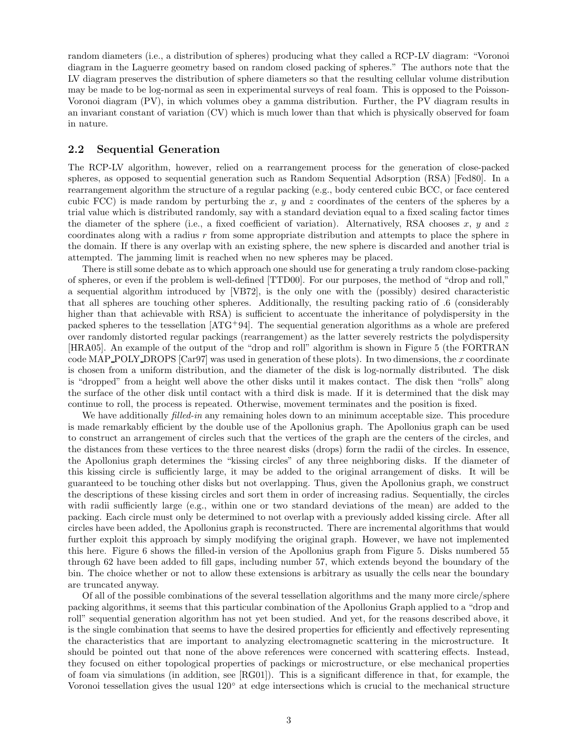random diameters (i.e., a distribution of spheres) producing what they called a RCP-LV diagram: "Voronoi diagram in the Laguerre geometry based on random closed packing of spheres." The authors note that the LV diagram preserves the distribution of sphere diameters so that the resulting cellular volume distribution may be made to be log-normal as seen in experimental surveys of real foam. This is opposed to the Poisson-Voronoi diagram (PV), in which volumes obey a gamma distribution. Further, the PV diagram results in an invariant constant of variation (CV) which is much lower than that which is physically observed for foam in nature.

### 2.2 Sequential Generation

The RCP-LV algorithm, however, relied on a rearrangement process for the generation of close-packed spheres, as opposed to sequential generation such as Random Sequential Adsorption (RSA) [Fed80]. In a rearrangement algorithm the structure of a regular packing (e.g., body centered cubic BCC, or face centered cubic FCC) is made random by perturbing the x, y and z coordinates of the centers of the spheres by a trial value which is distributed randomly, say with a standard deviation equal to a fixed scaling factor times the diameter of the sphere (i.e., a fixed coefficient of variation). Alternatively, RSA chooses x, y and z coordinates along with a radius r from some appropriate distribution and attempts to place the sphere in the domain. If there is any overlap with an existing sphere, the new sphere is discarded and another trial is attempted. The jamming limit is reached when no new spheres may be placed.

There is still some debate as to which approach one should use for generating a truly random close-packing of spheres, or even if the problem is well-defined [TTD00]. For our purposes, the method of "drop and roll," a sequential algorithm introduced by [VB72], is the only one with the (possibly) desired characteristic that all spheres are touching other spheres. Additionally, the resulting packing ratio of .6 (considerably higher than that achievable with RSA) is sufficient to accentuate the inheritance of polydispersity in the packed spheres to the tessellation [ATG<sup>+</sup>94]. The sequential generation algorithms as a whole are prefered over randomly distorted regular packings (rearrangement) as the latter severely restricts the polydispersity [HRA05]. An example of the output of the "drop and roll" algorithm is shown in Figure 5 (the FORTRAN code MAP POLY DROPS  $[Car97]$  was used in generation of these plots). In two dimensions, the x coordinate is chosen from a uniform distribution, and the diameter of the disk is log-normally distributed. The disk is "dropped" from a height well above the other disks until it makes contact. The disk then "rolls" along the surface of the other disk until contact with a third disk is made. If it is determined that the disk may continue to roll, the process is repeated. Otherwise, movement terminates and the position is fixed.

We have additionally *filled-in* any remaining holes down to an minimum acceptable size. This procedure is made remarkably efficient by the double use of the Apollonius graph. The Apollonius graph can be used to construct an arrangement of circles such that the vertices of the graph are the centers of the circles, and the distances from these vertices to the three nearest disks (drops) form the radii of the circles. In essence, the Apollonius graph determines the "kissing circles" of any three neighboring disks. If the diameter of this kissing circle is sufficiently large, it may be added to the original arrangement of disks. It will be guaranteed to be touching other disks but not overlapping. Thus, given the Apollonius graph, we construct the descriptions of these kissing circles and sort them in order of increasing radius. Sequentially, the circles with radii sufficiently large (e.g., within one or two standard deviations of the mean) are added to the packing. Each circle must only be determined to not overlap with a previously added kissing circle. After all circles have been added, the Apollonius graph is reconstructed. There are incremental algorithms that would further exploit this approach by simply modifying the original graph. However, we have not implemented this here. Figure 6 shows the filled-in version of the Apollonius graph from Figure 5. Disks numbered 55 through 62 have been added to fill gaps, including number 57, which extends beyond the boundary of the bin. The choice whether or not to allow these extensions is arbitrary as usually the cells near the boundary are truncated anyway.

Of all of the possible combinations of the several tessellation algorithms and the many more circle/sphere packing algorithms, it seems that this particular combination of the Apollonius Graph applied to a "drop and roll" sequential generation algorithm has not yet been studied. And yet, for the reasons described above, it is the single combination that seems to have the desired properties for efficiently and effectively representing the characteristics that are important to analyzing electromagnetic scattering in the microstructure. It should be pointed out that none of the above references were concerned with scattering effects. Instead, they focused on either topological properties of packings or microstructure, or else mechanical properties of foam via simulations (in addition, see [RG01]). This is a significant difference in that, for example, the Voronoi tessellation gives the usual 120◦ at edge intersections which is crucial to the mechanical structure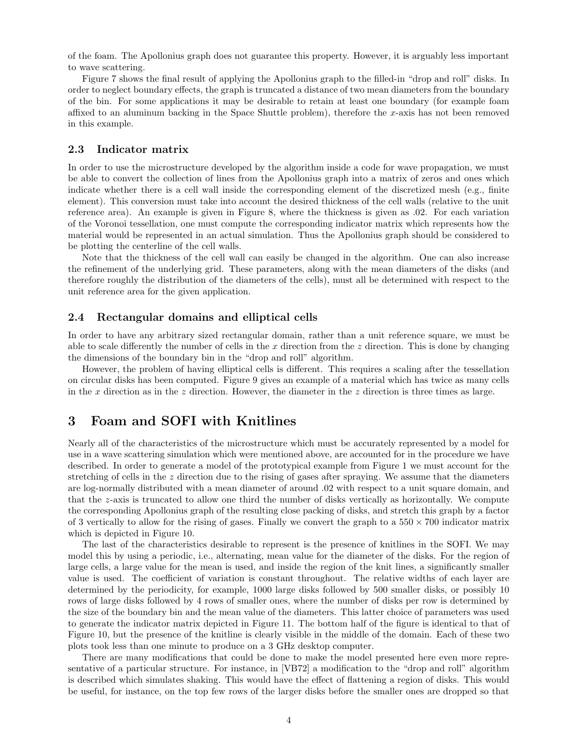of the foam. The Apollonius graph does not guarantee this property. However, it is arguably less important to wave scattering.

Figure 7 shows the final result of applying the Apollonius graph to the filled-in "drop and roll" disks. In order to neglect boundary effects, the graph is truncated a distance of two mean diameters from the boundary of the bin. For some applications it may be desirable to retain at least one boundary (for example foam affixed to an aluminum backing in the Space Shuttle problem), therefore the x-axis has not been removed in this example.

### 2.3 Indicator matrix

In order to use the microstructure developed by the algorithm inside a code for wave propagation, we must be able to convert the collection of lines from the Apollonius graph into a matrix of zeros and ones which indicate whether there is a cell wall inside the corresponding element of the discretized mesh (e.g., finite element). This conversion must take into account the desired thickness of the cell walls (relative to the unit reference area). An example is given in Figure 8, where the thickness is given as .02. For each variation of the Voronoi tessellation, one must compute the corresponding indicator matrix which represents how the material would be represented in an actual simulation. Thus the Apollonius graph should be considered to be plotting the centerline of the cell walls.

Note that the thickness of the cell wall can easily be changed in the algorithm. One can also increase the refinement of the underlying grid. These parameters, along with the mean diameters of the disks (and therefore roughly the distribution of the diameters of the cells), must all be determined with respect to the unit reference area for the given application.

#### 2.4 Rectangular domains and elliptical cells

In order to have any arbitrary sized rectangular domain, rather than a unit reference square, we must be able to scale differently the number of cells in the x direction from the  $z$  direction. This is done by changing the dimensions of the boundary bin in the "drop and roll" algorithm.

However, the problem of having elliptical cells is different. This requires a scaling after the tessellation on circular disks has been computed. Figure 9 gives an example of a material which has twice as many cells in the x direction as in the z direction. However, the diameter in the z direction is three times as large.

## 3 Foam and SOFI with Knitlines

Nearly all of the characteristics of the microstructure which must be accurately represented by a model for use in a wave scattering simulation which were mentioned above, are accounted for in the procedure we have described. In order to generate a model of the prototypical example from Figure 1 we must account for the stretching of cells in the z direction due to the rising of gases after spraying. We assume that the diameters are log-normally distributed with a mean diameter of around .02 with respect to a unit square domain, and that the z-axis is truncated to allow one third the number of disks vertically as horizontally. We compute the corresponding Apollonius graph of the resulting close packing of disks, and stretch this graph by a factor of 3 vertically to allow for the rising of gases. Finally we convert the graph to a  $550 \times 700$  indicator matrix which is depicted in Figure 10.

The last of the characteristics desirable to represent is the presence of knitlines in the SOFI. We may model this by using a periodic, i.e., alternating, mean value for the diameter of the disks. For the region of large cells, a large value for the mean is used, and inside the region of the knit lines, a significantly smaller value is used. The coefficient of variation is constant throughout. The relative widths of each layer are determined by the periodicity, for example, 1000 large disks followed by 500 smaller disks, or possibly 10 rows of large disks followed by 4 rows of smaller ones, where the number of disks per row is determined by the size of the boundary bin and the mean value of the diameters. This latter choice of parameters was used to generate the indicator matrix depicted in Figure 11. The bottom half of the figure is identical to that of Figure 10, but the presence of the knitline is clearly visible in the middle of the domain. Each of these two plots took less than one minute to produce on a 3 GHz desktop computer.

There are many modifications that could be done to make the model presented here even more representative of a particular structure. For instance, in [VB72] a modification to the "drop and roll" algorithm is described which simulates shaking. This would have the effect of flattening a region of disks. This would be useful, for instance, on the top few rows of the larger disks before the smaller ones are dropped so that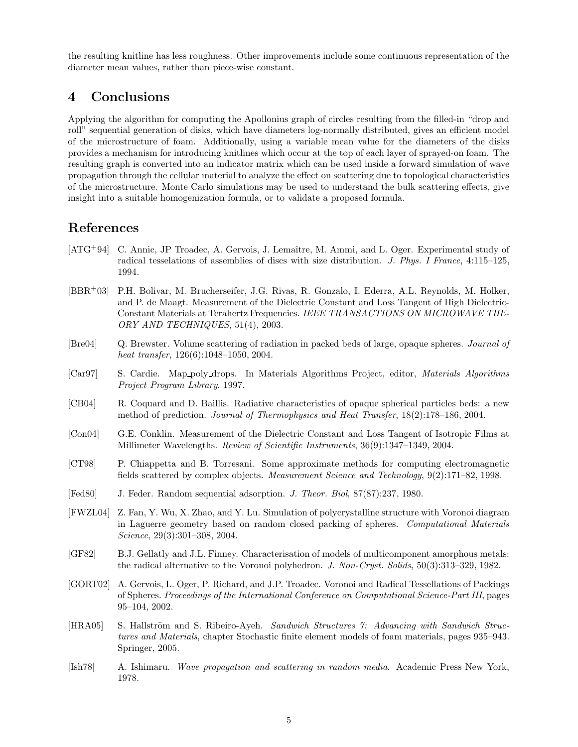the resulting knitline has less roughness. Other improvements include some continuous representation of the diameter mean values, rather than piece-wise constant.

# 4 Conclusions

Applying the algorithm for computing the Apollonius graph of circles resulting from the filled-in "drop and roll" sequential generation of disks, which have diameters log-normally distributed, gives an efficient model of the microstructure of foam. Additionally, using a variable mean value for the diameters of the disks provides a mechanism for introducing knitlines which occur at the top of each layer of sprayed-on foam. The resulting graph is converted into an indicator matrix which can be used inside a forward simulation of wave propagation through the cellular material to analyze the effect on scattering due to topological characteristics of the microstructure. Monte Carlo simulations may be used to understand the bulk scattering effects, give insight into a suitable homogenization formula, or to validate a proposed formula.

## References

- [ATG<sup>+</sup>94] C. Annic, JP Troadec, A. Gervois, J. Lemaître, M. Ammi, and L. Oger. Experimental study of radical tesselations of assemblies of discs with size distribution. J. Phys. I France, 4:115–125, 1994.
- [BBR<sup>+</sup>03] P.H. Bolivar, M. Brucherseifer, J.G. Rivas, R. Gonzalo, I. Ederra, A.L. Reynolds, M. Holker, and P. de Maagt. Measurement of the Dielectric Constant and Loss Tangent of High Dielectric-Constant Materials at Terahertz Frequencies. IEEE TRANSACTIONS ON MICROWAVE THE-ORY AND TECHNIQUES, 51(4), 2003.
- [Bre04] Q. Brewster. Volume scattering of radiation in packed beds of large, opaque spheres. Journal of heat transfer, 126(6):1048–1050, 2004.
- [Car97] S. Cardie. Map poly drops. In Materials Algorithms Project, editor, Materials Algorithms Project Program Library. 1997.
- [CB04] R. Coquard and D. Baillis. Radiative characteristics of opaque spherical particles beds: a new method of prediction. Journal of Thermophysics and Heat Transfer, 18(2):178–186, 2004.
- [Con04] G.E. Conklin. Measurement of the Dielectric Constant and Loss Tangent of Isotropic Films at Millimeter Wavelengths. Review of Scientific Instruments, 36(9):1347–1349, 2004.
- [CT98] P. Chiappetta and B. Torresani. Some approximate methods for computing electromagnetic fields scattered by complex objects. Measurement Science and Technology, 9(2):171–82, 1998.
- [Fed80] J. Feder. Random sequential adsorption. J. Theor. Biol, 87(87):237, 1980.
- [FWZL04] Z. Fan, Y. Wu, X. Zhao, and Y. Lu. Simulation of polycrystalline structure with Voronoi diagram in Laguerre geometry based on random closed packing of spheres. Computational Materials Science, 29(3):301–308, 2004.
- [GF82] B.J. Gellatly and J.L. Finney. Characterisation of models of multicomponent amorphous metals: the radical alternative to the Voronoi polyhedron. J. Non-Cryst. Solids, 50(3):313–329, 1982.
- [GORT02] A. Gervois, L. Oger, P. Richard, and J.P. Troadec. Voronoi and Radical Tessellations of Packings of Spheres. Proceedings of the International Conference on Computational Science-Part III, pages 95–104, 2002.
- [HRA05] S. Hallström and S. Ribeiro-Ayeh. Sandwich Structures 7: Advancing with Sandwich Structures and Materials, chapter Stochastic finite element models of foam materials, pages 935–943. Springer, 2005.
- [Ish78] A. Ishimaru. Wave propagation and scattering in random media. Academic Press New York, 1978.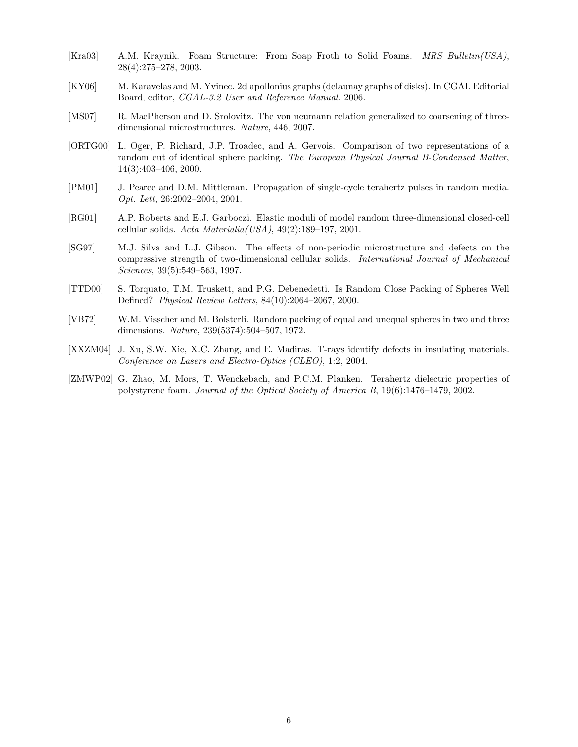- [Kra03] A.M. Kraynik. Foam Structure: From Soap Froth to Solid Foams. MRS Bulletin(USA), 28(4):275–278, 2003.
- [KY06] M. Karavelas and M. Yvinec. 2d apollonius graphs (delaunay graphs of disks). In CGAL Editorial Board, editor, CGAL-3.2 User and Reference Manual. 2006.
- [MS07] R. MacPherson and D. Srolovitz. The von neumann relation generalized to coarsening of threedimensional microstructures. Nature, 446, 2007.
- [ORTG00] L. Oger, P. Richard, J.P. Troadec, and A. Gervois. Comparison of two representations of a random cut of identical sphere packing. The European Physical Journal B-Condensed Matter, 14(3):403–406, 2000.
- [PM01] J. Pearce and D.M. Mittleman. Propagation of single-cycle terahertz pulses in random media. Opt. Lett, 26:2002–2004, 2001.
- [RG01] A.P. Roberts and E.J. Garboczi. Elastic moduli of model random three-dimensional closed-cell cellular solids.  $Acta Materialia(USA), 49(2):189-197, 2001.$
- [SG97] M.J. Silva and L.J. Gibson. The effects of non-periodic microstructure and defects on the compressive strength of two-dimensional cellular solids. International Journal of Mechanical Sciences, 39(5):549–563, 1997.
- [TTD00] S. Torquato, T.M. Truskett, and P.G. Debenedetti. Is Random Close Packing of Spheres Well Defined? Physical Review Letters, 84(10):2064–2067, 2000.
- [VB72] W.M. Visscher and M. Bolsterli. Random packing of equal and unequal spheres in two and three dimensions. Nature, 239(5374):504–507, 1972.
- [XXZM04] J. Xu, S.W. Xie, X.C. Zhang, and E. Madiras. T-rays identify defects in insulating materials. Conference on Lasers and Electro-Optics (CLEO), 1:2, 2004.
- [ZMWP02] G. Zhao, M. Mors, T. Wenckebach, and P.C.M. Planken. Terahertz dielectric properties of polystyrene foam. Journal of the Optical Society of America B, 19(6):1476–1479, 2002.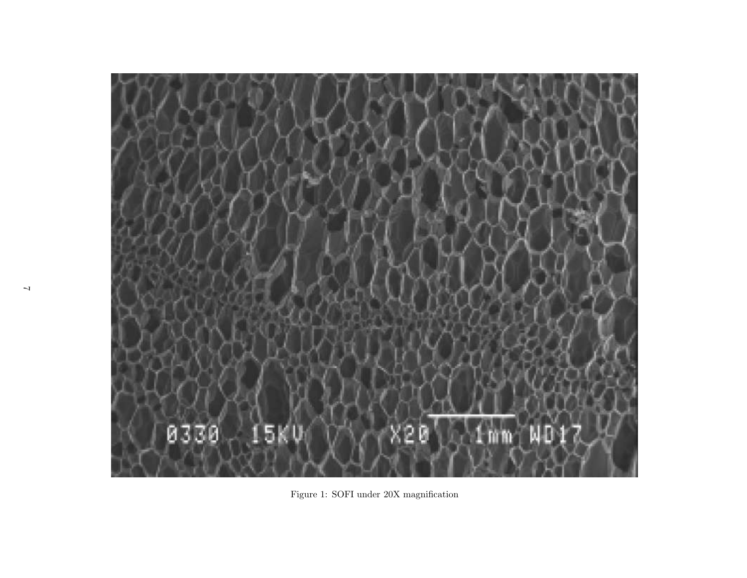

Figure 1: SOFI under 20X magnification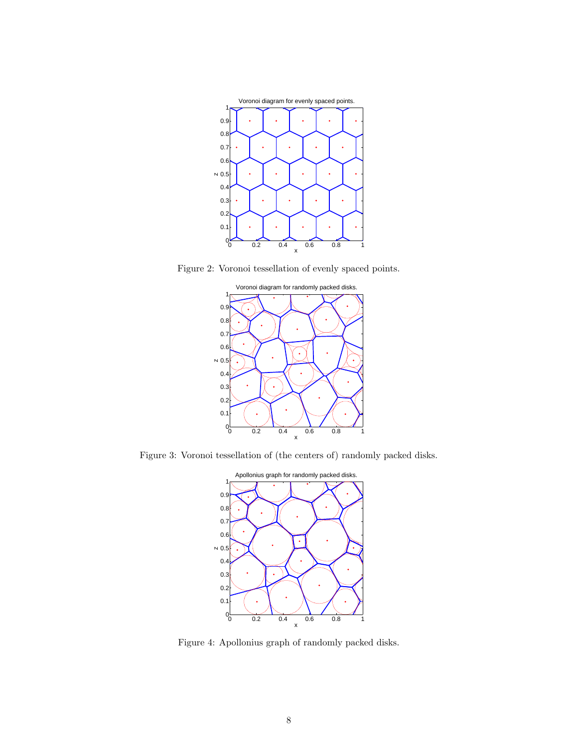

Figure 2: Voronoi tessellation of evenly spaced points.



Figure 3: Voronoi tessellation of (the centers of) randomly packed disks.



Figure 4: Apollonius graph of randomly packed disks.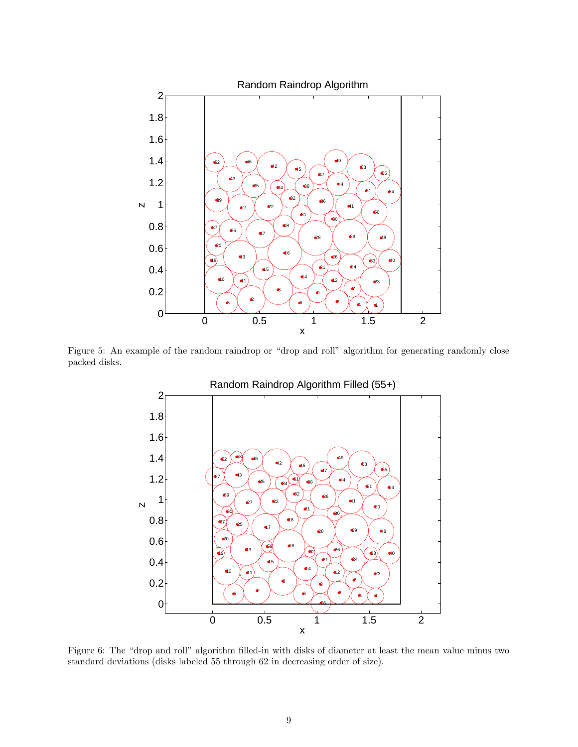

Figure 5: An example of the random raindrop or "drop and roll" algorithm for generating randomly close packed disks.



Figure 6: The "drop and roll" algorithm filled-in with disks of diameter at least the mean value minus two standard deviations (disks labeled 55 through 62 in decreasing order of size).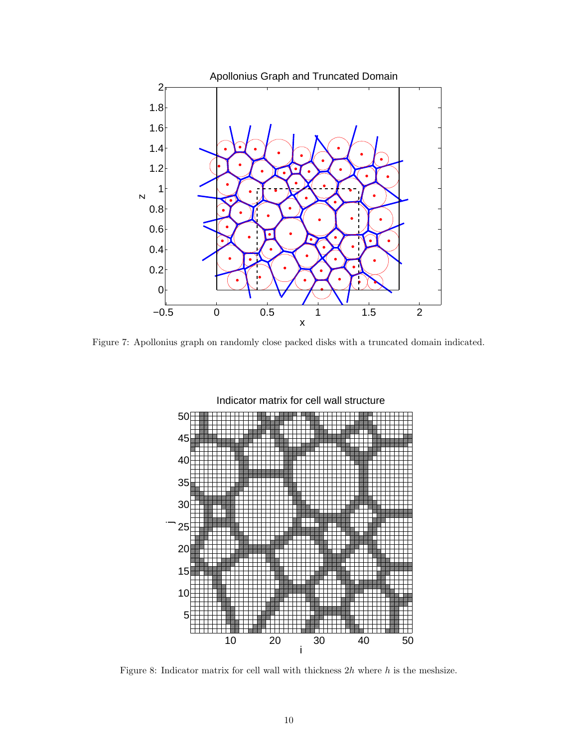

Figure 7: Apollonius graph on randomly close packed disks with a truncated domain indicated.



Figure 8: Indicator matrix for cell wall with thickness  $2h$  where h is the meshsize.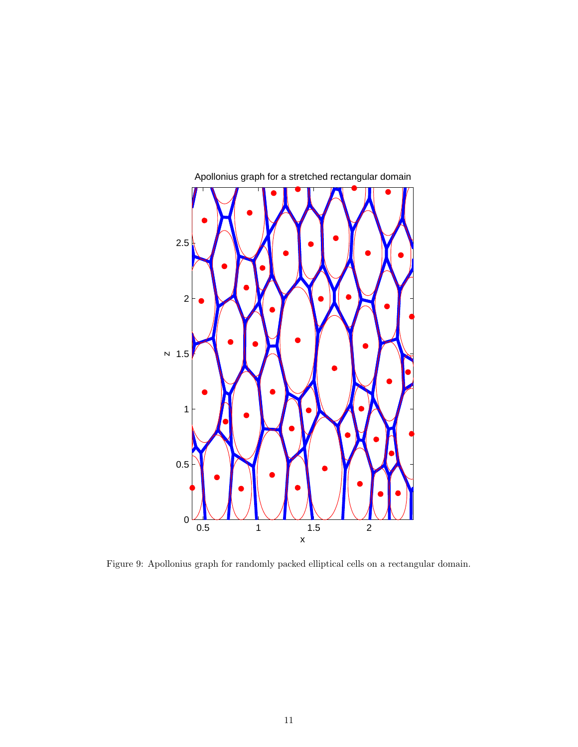

Apollonius graph for a stretched rectangular domain

Figure 9: Apollonius graph for randomly packed elliptical cells on a rectangular domain.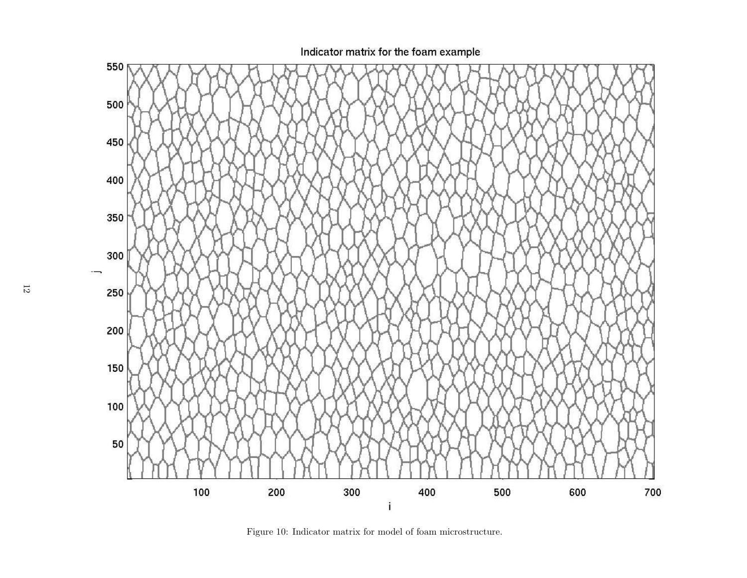

Figure 10: Indicator matrix for model of foam microstructure.